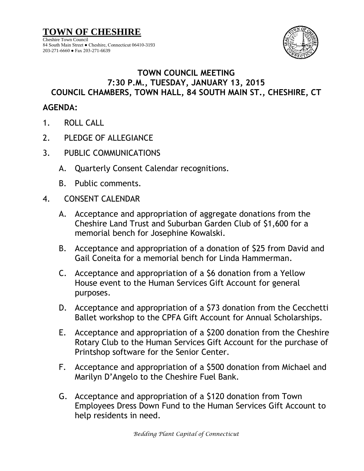

## **TOWN COUNCIL MEETING 7:30 P.M., TUESDAY, JANUARY 13, 2015 COUNCIL CHAMBERS, TOWN HALL, 84 SOUTH MAIN ST., CHESHIRE, CT**

## **AGENDA:**

- 1. ROLL CALL
- 2. PLEDGE OF ALLEGIANCE
- 3. PUBLIC COMMUNICATIONS
	- A. Quarterly Consent Calendar recognitions.
	- B. Public comments.
- 4. CONSENT CALENDAR
	- A. Acceptance and appropriation of aggregate donations from the Cheshire Land Trust and Suburban Garden Club of \$1,600 for a memorial bench for Josephine Kowalski.
	- B. Acceptance and appropriation of a donation of \$25 from David and Gail Coneita for a memorial bench for Linda Hammerman.
	- C. Acceptance and appropriation of a \$6 donation from a Yellow House event to the Human Services Gift Account for general purposes.
	- D. Acceptance and appropriation of a \$73 donation from the Cecchetti Ballet workshop to the CPFA Gift Account for Annual Scholarships.
	- E. Acceptance and appropriation of a \$200 donation from the Cheshire Rotary Club to the Human Services Gift Account for the purchase of Printshop software for the Senior Center.
	- F. Acceptance and appropriation of a \$500 donation from Michael and Marilyn D'Angelo to the Cheshire Fuel Bank.
	- G. Acceptance and appropriation of a \$120 donation from Town Employees Dress Down Fund to the Human Services Gift Account to help residents in need.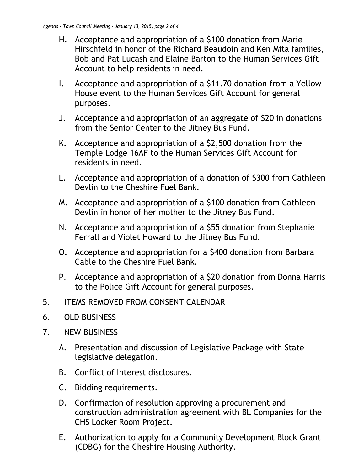- H. Acceptance and appropriation of a \$100 donation from Marie Hirschfeld in honor of the Richard Beaudoin and Ken Mita families, Bob and Pat Lucash and Elaine Barton to the Human Services Gift Account to help residents in need.
- I. Acceptance and appropriation of a \$11.70 donation from a Yellow House event to the Human Services Gift Account for general purposes.
- J. Acceptance and appropriation of an aggregate of \$20 in donations from the Senior Center to the Jitney Bus Fund.
- K. Acceptance and appropriation of a \$2,500 donation from the Temple Lodge 16AF to the Human Services Gift Account for residents in need.
- L. Acceptance and appropriation of a donation of \$300 from Cathleen Devlin to the Cheshire Fuel Bank.
- M. Acceptance and appropriation of a \$100 donation from Cathleen Devlin in honor of her mother to the Jitney Bus Fund.
- N. Acceptance and appropriation of a \$55 donation from Stephanie Ferrall and Violet Howard to the Jitney Bus Fund.
- O. Acceptance and appropriation for a \$400 donation from Barbara Cable to the Cheshire Fuel Bank.
- P. Acceptance and appropriation of a \$20 donation from Donna Harris to the Police Gift Account for general purposes.
- 5. ITEMS REMOVED FROM CONSENT CALENDAR
- 6. OLD BUSINESS
- 7. NEW BUSINESS
	- A. Presentation and discussion of Legislative Package with State legislative delegation.
	- B. Conflict of Interest disclosures.
	- C. Bidding requirements.
	- D. Confirmation of resolution approving a procurement and construction administration agreement with BL Companies for the CHS Locker Room Project.
	- E. Authorization to apply for a Community Development Block Grant (CDBG) for the Cheshire Housing Authority.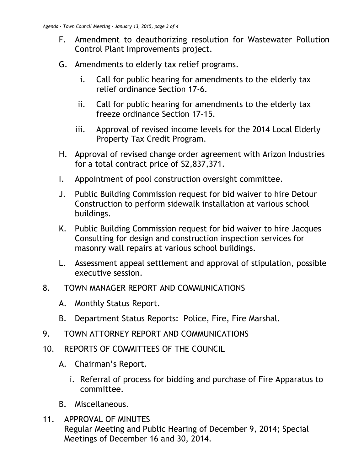- F. Amendment to deauthorizing resolution for Wastewater Pollution Control Plant Improvements project.
- G. Amendments to elderly tax relief programs.
	- i. Call for public hearing for amendments to the elderly tax relief ordinance Section 17-6.
	- ii. Call for public hearing for amendments to the elderly tax freeze ordinance Section 17-15.
	- iii. Approval of revised income levels for the 2014 Local Elderly Property Tax Credit Program.
- H. Approval of revised change order agreement with Arizon Industries for a total contract price of \$2,837,371.
- I. Appointment of pool construction oversight committee.
- J. Public Building Commission request for bid waiver to hire Detour Construction to perform sidewalk installation at various school buildings.
- K. Public Building Commission request for bid waiver to hire Jacques Consulting for design and construction inspection services for masonry wall repairs at various school buildings.
- L. Assessment appeal settlement and approval of stipulation, possible executive session.
- 8. TOWN MANAGER REPORT AND COMMUNICATIONS
	- A. Monthly Status Report.
	- B. Department Status Reports: Police, Fire, Fire Marshal.
- 9. TOWN ATTORNEY REPORT AND COMMUNICATIONS
- 10. REPORTS OF COMMITTEES OF THE COUNCIL
	- A. Chairman's Report.
		- i. Referral of process for bidding and purchase of Fire Apparatus to committee.
	- B. Miscellaneous.
- 11. APPROVAL OF MINUTES Regular Meeting and Public Hearing of December 9, 2014; Special Meetings of December 16 and 30, 2014.